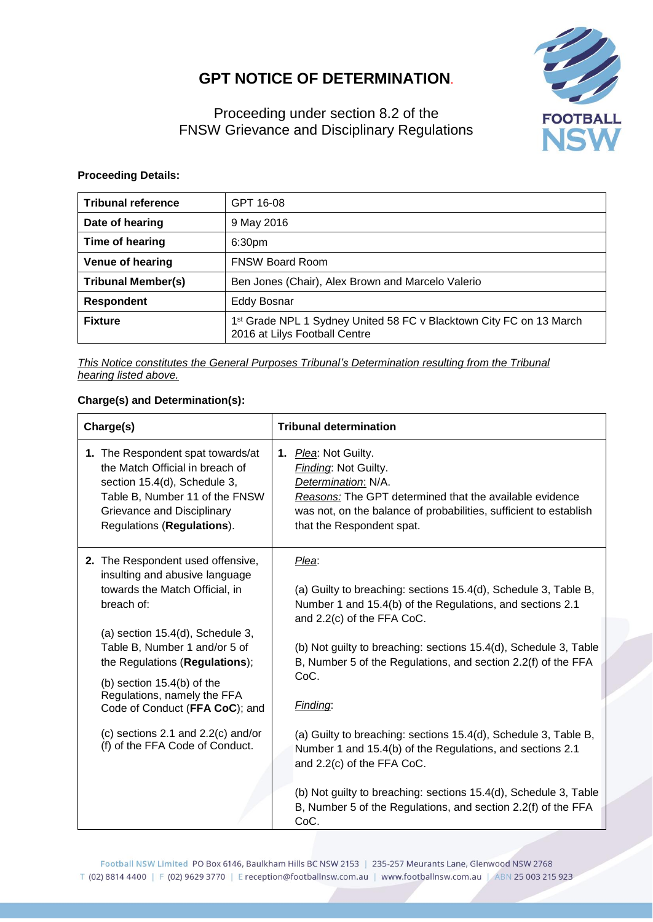## **GPT NOTICE OF DETERMINATION**.



Proceeding under section 8.2 of the FNSW Grievance and Disciplinary Regulations

## **Proceeding Details:**

| <b>Tribunal reference</b> | GPT 16-08                                                                                                        |
|---------------------------|------------------------------------------------------------------------------------------------------------------|
| Date of hearing           | 9 May 2016                                                                                                       |
| Time of hearing           | 6:30 <sub>pm</sub>                                                                                               |
| <b>Venue of hearing</b>   | <b>FNSW Board Room</b>                                                                                           |
| <b>Tribunal Member(s)</b> | Ben Jones (Chair), Alex Brown and Marcelo Valerio                                                                |
| <b>Respondent</b>         | Eddy Bosnar                                                                                                      |
| <b>Fixture</b>            | 1 <sup>st</sup> Grade NPL 1 Sydney United 58 FC v Blacktown City FC on 13 March<br>2016 at Lilys Football Centre |

*This Notice constitutes the General Purposes Tribunal's Determination resulting from the Tribunal hearing listed above.*

## **Charge(s) and Determination(s):**

| Charge(s)                                                                                                                                                                                                                                                                                                                                                              | <b>Tribunal determination</b>                                                                                                                                                                                                                                                                                                |
|------------------------------------------------------------------------------------------------------------------------------------------------------------------------------------------------------------------------------------------------------------------------------------------------------------------------------------------------------------------------|------------------------------------------------------------------------------------------------------------------------------------------------------------------------------------------------------------------------------------------------------------------------------------------------------------------------------|
| 1. The Respondent spat towards/at<br>the Match Official in breach of<br>section 15.4(d), Schedule 3,<br>Table B, Number 11 of the FNSW<br>Grievance and Disciplinary<br>Regulations (Regulations).                                                                                                                                                                     | 1. Plea: Not Guilty.<br>Finding: Not Guilty.<br>Determination: N/A.<br>Reasons: The GPT determined that the available evidence<br>was not, on the balance of probabilities, sufficient to establish<br>that the Respondent spat.                                                                                             |
| 2. The Respondent used offensive,<br>insulting and abusive language<br>towards the Match Official, in<br>breach of:<br>(a) section $15.4(d)$ , Schedule 3,<br>Table B, Number 1 and/or 5 of<br>the Regulations (Regulations);<br>(b) section $15.4(b)$ of the<br>Regulations, namely the FFA<br>Code of Conduct (FFA CoC); and<br>(c) sections 2.1 and $2.2(c)$ and/or | Plea:<br>(a) Guilty to breaching: sections 15.4(d), Schedule 3, Table B,<br>Number 1 and 15.4(b) of the Regulations, and sections 2.1<br>and 2.2(c) of the FFA CoC.<br>(b) Not guilty to breaching: sections 15.4(d), Schedule 3, Table<br>B, Number 5 of the Regulations, and section 2.2(f) of the FFA<br>CoC.<br>Finding: |
| (f) of the FFA Code of Conduct.                                                                                                                                                                                                                                                                                                                                        | (a) Guilty to breaching: sections 15.4(d), Schedule 3, Table B,<br>Number 1 and 15.4(b) of the Regulations, and sections 2.1<br>and 2.2(c) of the FFA CoC.<br>(b) Not guilty to breaching: sections 15.4(d), Schedule 3, Table<br>B, Number 5 of the Regulations, and section 2.2(f) of the FFA<br>CoC.                      |

Football NSW Limited PO Box 6146, Baulkham Hills BC NSW 2153 | 235-257 Meurants Lane, Glenwood NSW 2768 T (02) 8814 4400 | F (02) 9629 3770 | E reception@footballnsw.com.au | www.footballnsw.com.au | ABN 25 003 215 923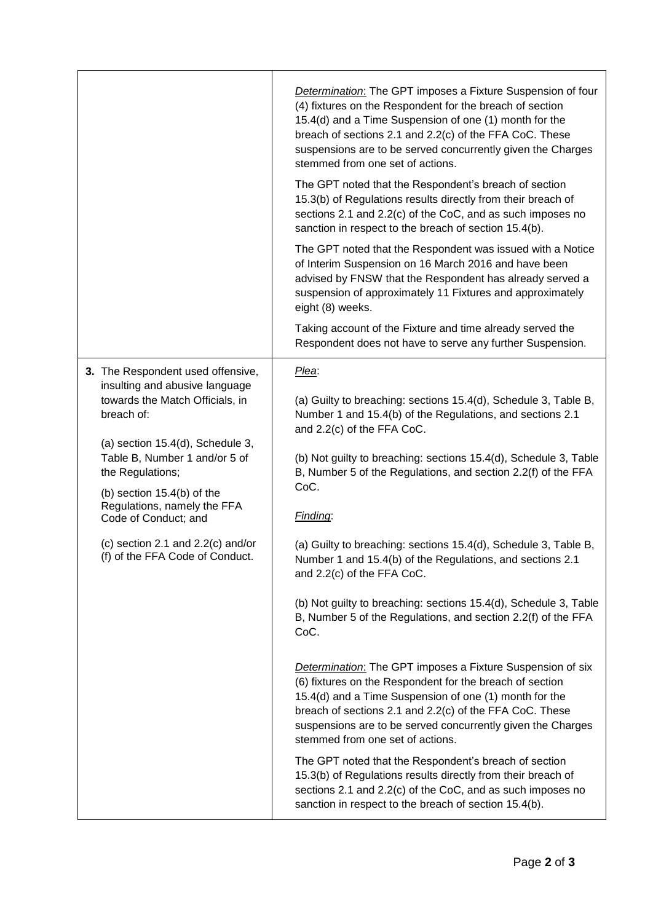|                                                                                                                                                                                                                                                                                                                                            | <b>Determination:</b> The GPT imposes a Fixture Suspension of four<br>(4) fixtures on the Respondent for the breach of section<br>15.4(d) and a Time Suspension of one (1) month for the<br>breach of sections 2.1 and 2.2(c) of the FFA CoC. These<br>suspensions are to be served concurrently given the Charges<br>stemmed from one set of actions.<br>The GPT noted that the Respondent's breach of section |
|--------------------------------------------------------------------------------------------------------------------------------------------------------------------------------------------------------------------------------------------------------------------------------------------------------------------------------------------|-----------------------------------------------------------------------------------------------------------------------------------------------------------------------------------------------------------------------------------------------------------------------------------------------------------------------------------------------------------------------------------------------------------------|
|                                                                                                                                                                                                                                                                                                                                            | 15.3(b) of Regulations results directly from their breach of<br>sections 2.1 and 2.2(c) of the CoC, and as such imposes no<br>sanction in respect to the breach of section 15.4(b).                                                                                                                                                                                                                             |
|                                                                                                                                                                                                                                                                                                                                            | The GPT noted that the Respondent was issued with a Notice<br>of Interim Suspension on 16 March 2016 and have been<br>advised by FNSW that the Respondent has already served a<br>suspension of approximately 11 Fixtures and approximately<br>eight (8) weeks.                                                                                                                                                 |
|                                                                                                                                                                                                                                                                                                                                            | Taking account of the Fixture and time already served the<br>Respondent does not have to serve any further Suspension.                                                                                                                                                                                                                                                                                          |
| 3. The Respondent used offensive,                                                                                                                                                                                                                                                                                                          | Plea:                                                                                                                                                                                                                                                                                                                                                                                                           |
| insulting and abusive language<br>towards the Match Officials, in<br>breach of:<br>(a) section $15.4(d)$ , Schedule 3,<br>Table B, Number 1 and/or 5 of<br>the Regulations;<br>(b) section 15.4(b) of the<br>Regulations, namely the FFA<br>Code of Conduct; and<br>(c) section 2.1 and $2.2(c)$ and/or<br>(f) of the FFA Code of Conduct. | (a) Guilty to breaching: sections 15.4(d), Schedule 3, Table B,<br>Number 1 and 15.4(b) of the Regulations, and sections 2.1<br>and 2.2(c) of the FFA CoC.                                                                                                                                                                                                                                                      |
|                                                                                                                                                                                                                                                                                                                                            | (b) Not guilty to breaching: sections 15.4(d), Schedule 3, Table<br>B, Number 5 of the Regulations, and section 2.2(f) of the FFA<br>CoC.                                                                                                                                                                                                                                                                       |
|                                                                                                                                                                                                                                                                                                                                            | Finding:                                                                                                                                                                                                                                                                                                                                                                                                        |
|                                                                                                                                                                                                                                                                                                                                            | (a) Guilty to breaching: sections 15.4(d), Schedule 3, Table B,<br>Number 1 and 15.4(b) of the Regulations, and sections 2.1<br>and 2.2(c) of the FFA CoC.                                                                                                                                                                                                                                                      |
|                                                                                                                                                                                                                                                                                                                                            | (b) Not guilty to breaching: sections 15.4(d), Schedule 3, Table<br>B, Number 5 of the Regulations, and section 2.2(f) of the FFA<br>CoC.                                                                                                                                                                                                                                                                       |
|                                                                                                                                                                                                                                                                                                                                            | <b>Determination:</b> The GPT imposes a Fixture Suspension of six<br>(6) fixtures on the Respondent for the breach of section<br>15.4(d) and a Time Suspension of one (1) month for the<br>breach of sections 2.1 and 2.2(c) of the FFA CoC. These<br>suspensions are to be served concurrently given the Charges<br>stemmed from one set of actions.                                                           |
|                                                                                                                                                                                                                                                                                                                                            | The GPT noted that the Respondent's breach of section<br>15.3(b) of Regulations results directly from their breach of<br>sections 2.1 and 2.2(c) of the CoC, and as such imposes no<br>sanction in respect to the breach of section 15.4(b).                                                                                                                                                                    |